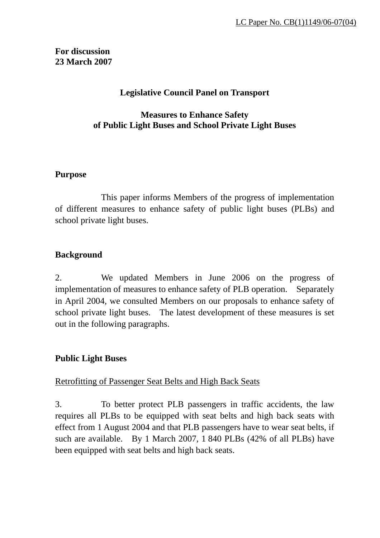# **For discussion 23 March 2007**

# **Legislative Council Panel on Transport**

## **Measures to Enhance Safety of Public Light Buses and School Private Light Buses**

### **Purpose**

This paper informs Members of the progress of implementation of different measures to enhance safety of public light buses (PLBs) and school private light buses.

## **Background**

2. We updated Members in June 2006 on the progress of implementation of measures to enhance safety of PLB operation. Separately in April 2004, we consulted Members on our proposals to enhance safety of school private light buses. The latest development of these measures is set out in the following paragraphs.

### **Public Light Buses**

### Retrofitting of Passenger Seat Belts and High Back Seats

3. To better protect PLB passengers in traffic accidents, the law requires all PLBs to be equipped with seat belts and high back seats with effect from 1 August 2004 and that PLB passengers have to wear seat belts, if such are available. By 1 March 2007, 1 840 PLBs (42% of all PLBs) have been equipped with seat belts and high back seats.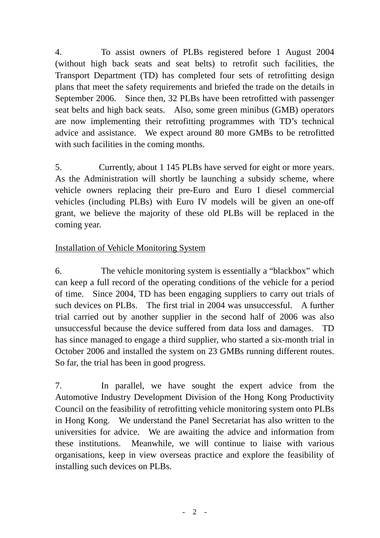4. To assist owners of PLBs registered before 1 August 2004 (without high back seats and seat belts) to retrofit such facilities, the Transport Department (TD) has completed four sets of retrofitting design plans that meet the safety requirements and briefed the trade on the details in September 2006. Since then, 32 PLBs have been retrofitted with passenger seat belts and high back seats. Also, some green minibus (GMB) operators are now implementing their retrofitting programmes with TD's technical advice and assistance. We expect around 80 more GMBs to be retrofitted with such facilities in the coming months.

5. Currently, about 1 145 PLBs have served for eight or more years. As the Administration will shortly be launching a subsidy scheme, where vehicle owners replacing their pre-Euro and Euro I diesel commercial vehicles (including PLBs) with Euro IV models will be given an one-off grant, we believe the majority of these old PLBs will be replaced in the coming year.

# Installation of Vehicle Monitoring System

6. The vehicle monitoring system is essentially a "blackbox" which can keep a full record of the operating conditions of the vehicle for a period of time. Since 2004, TD has been engaging suppliers to carry out trials of such devices on PLBs. The first trial in 2004 was unsuccessful. A further trial carried out by another supplier in the second half of 2006 was also unsuccessful because the device suffered from data loss and damages. TD has since managed to engage a third supplier, who started a six-month trial in October 2006 and installed the system on 23 GMBs running different routes. So far, the trial has been in good progress.

7. In parallel, we have sought the expert advice from the Automotive Industry Development Division of the Hong Kong Productivity Council on the feasibility of retrofitting vehicle monitoring system onto PLBs in Hong Kong. We understand the Panel Secretariat has also written to the universities for advice. We are awaiting the advice and information from these institutions. Meanwhile, we will continue to liaise with various organisations, keep in view overseas practice and explore the feasibility of installing such devices on PLBs.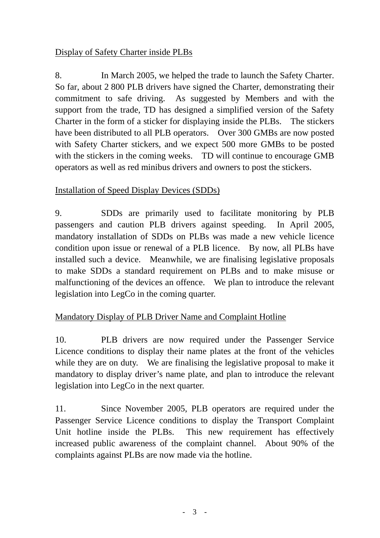# Display of Safety Charter inside PLBs

8. In March 2005, we helped the trade to launch the Safety Charter. So far, about 2 800 PLB drivers have signed the Charter, demonstrating their commitment to safe driving. As suggested by Members and with the support from the trade, TD has designed a simplified version of the Safety Charter in the form of a sticker for displaying inside the PLBs. The stickers have been distributed to all PLB operators. Over 300 GMBs are now posted with Safety Charter stickers, and we expect 500 more GMBs to be posted with the stickers in the coming weeks. TD will continue to encourage GMB operators as well as red minibus drivers and owners to post the stickers.

## Installation of Speed Display Devices (SDDs)

9. SDDs are primarily used to facilitate monitoring by PLB passengers and caution PLB drivers against speeding. In April 2005, mandatory installation of SDDs on PLBs was made a new vehicle licence condition upon issue or renewal of a PLB licence. By now, all PLBs have installed such a device. Meanwhile, we are finalising legislative proposals to make SDDs a standard requirement on PLBs and to make misuse or malfunctioning of the devices an offence. We plan to introduce the relevant legislation into LegCo in the coming quarter.

### Mandatory Display of PLB Driver Name and Complaint Hotline

10. PLB drivers are now required under the Passenger Service Licence conditions to display their name plates at the front of the vehicles while they are on duty. We are finalising the legislative proposal to make it mandatory to display driver's name plate, and plan to introduce the relevant legislation into LegCo in the next quarter.

11. Since November 2005, PLB operators are required under the Passenger Service Licence conditions to display the Transport Complaint Unit hotline inside the PLBs. This new requirement has effectively increased public awareness of the complaint channel. About 90% of the complaints against PLBs are now made via the hotline.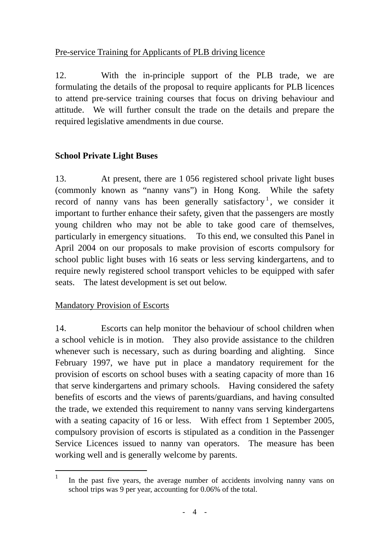# Pre-service Training for Applicants of PLB driving licence

12. With the in-principle support of the PLB trade, we are formulating the details of the proposal to require applicants for PLB licences to attend pre-service training courses that focus on driving behaviour and attitude. We will further consult the trade on the details and prepare the required legislative amendments in due course.

# **School Private Light Buses**

13. At present, there are 1 056 registered school private light buses (commonly known as "nanny vans") in Hong Kong. While the safety record of nanny vans has been generally satisfactory<sup>[1](#page-3-0)</sup>, we consider it important to further enhance their safety, given that the passengers are mostly young children who may not be able to take good care of themselves, particularly in emergency situations. To this end, we consulted this Panel in April 2004 on our proposals to make provision of escorts compulsory for school public light buses with 16 seats or less serving kindergartens, and to require newly registered school transport vehicles to be equipped with safer seats. The latest development is set out below.

# Mandatory Provision of Escorts

14. Escorts can help monitor the behaviour of school children when a school vehicle is in motion. They also provide assistance to the children whenever such is necessary, such as during boarding and alighting. Since February 1997, we have put in place a mandatory requirement for the provision of escorts on school buses with a seating capacity of more than 16 that serve kindergartens and primary schools. Having considered the safety benefits of escorts and the views of parents/guardians, and having consulted the trade, we extended this requirement to nanny vans serving kindergartens with a seating capacity of 16 or less. With effect from 1 September 2005, compulsory provision of escorts is stipulated as a condition in the Passenger Service Licences issued to nanny van operators. The measure has been working well and is generally welcome by parents.

<span id="page-3-0"></span> $\mathbf{1}$ In the past five years, the average number of accidents involving nanny vans on school trips was 9 per year, accounting for 0.06% of the total.